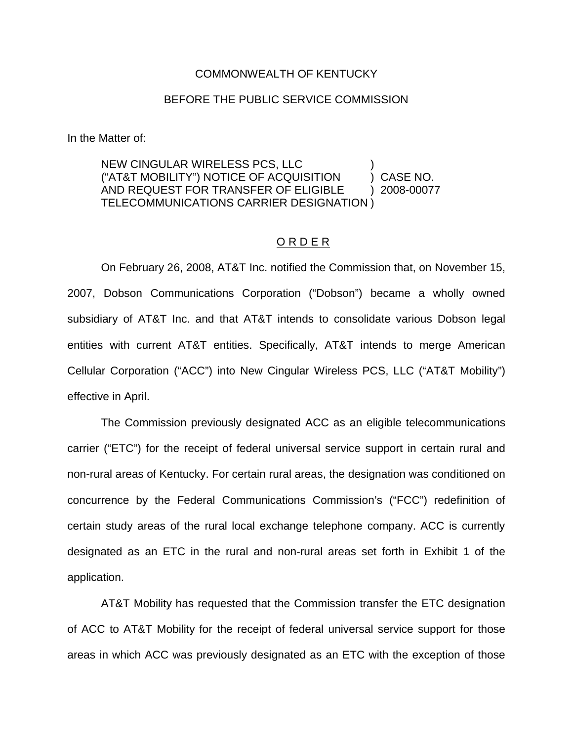## COMMONWEALTH OF KENTUCKY

## BEFORE THE PUBLIC SERVICE COMMISSION

In the Matter of:

## NEW CINGULAR WIRELESS PCS, LLC ) ("AT&T MOBILITY") NOTICE OF ACQUISITION ) CASE NO. AND REQUEST FOR TRANSFER OF ELIGIBLE ) 2008-00077 TELECOMMUNICATIONS CARRIER DESIGNATION )

## O R D E R

On February 26, 2008, AT&T Inc. notified the Commission that, on November 15, 2007, Dobson Communications Corporation ("Dobson") became a wholly owned subsidiary of AT&T Inc. and that AT&T intends to consolidate various Dobson legal entities with current AT&T entities. Specifically, AT&T intends to merge American Cellular Corporation ("ACC") into New Cingular Wireless PCS, LLC ("AT&T Mobility") effective in April.

The Commission previously designated ACC as an eligible telecommunications carrier ("ETC") for the receipt of federal universal service support in certain rural and non-rural areas of Kentucky. For certain rural areas, the designation was conditioned on concurrence by the Federal Communications Commission's ("FCC") redefinition of certain study areas of the rural local exchange telephone company. ACC is currently designated as an ETC in the rural and non-rural areas set forth in Exhibit 1 of the application.

AT&T Mobility has requested that the Commission transfer the ETC designation of ACC to AT&T Mobility for the receipt of federal universal service support for those areas in which ACC was previously designated as an ETC with the exception of those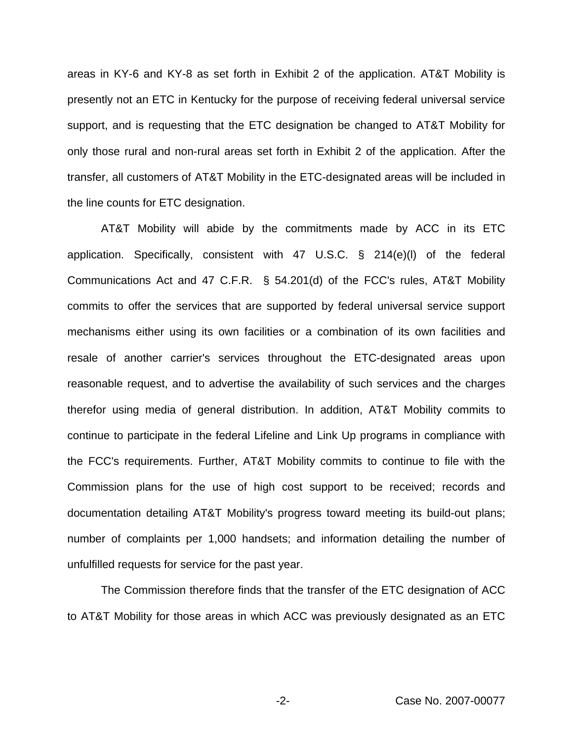areas in KY-6 and KY-8 as set forth in Exhibit 2 of the application. AT&T Mobility is presently not an ETC in Kentucky for the purpose of receiving federal universal service support, and is requesting that the ETC designation be changed to AT&T Mobility for only those rural and non-rural areas set forth in Exhibit 2 of the application. After the transfer, all customers of AT&T Mobility in the ETC-designated areas will be included in the line counts for ETC designation.

AT&T Mobility will abide by the commitments made by ACC in its ETC application. Specifically, consistent with 47 U.S.C. § 214(e)(l) of the federal Communications Act and 47 C.F.R. § 54.201(d) of the FCC's rules, AT&T Mobility commits to offer the services that are supported by federal universal service support mechanisms either using its own facilities or a combination of its own facilities and resale of another carrier's services throughout the ETC-designated areas upon reasonable request, and to advertise the availability of such services and the charges therefor using media of general distribution. In addition, AT&T Mobility commits to continue to participate in the federal Lifeline and Link Up programs in compliance with the FCC's requirements. Further, AT&T Mobility commits to continue to file with the Commission plans for the use of high cost support to be received; records and documentation detailing AT&T Mobility's progress toward meeting its build-out plans; number of complaints per 1,000 handsets; and information detailing the number of unfulfilled requests for service for the past year.

The Commission therefore finds that the transfer of the ETC designation of ACC to AT&T Mobility for those areas in which ACC was previously designated as an ETC